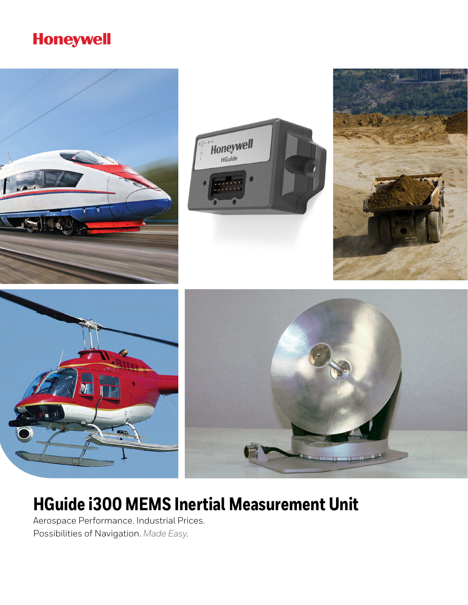### **Honeywell**



## **HGuide i300 MEMS Inertial Measurement Unit**

Aerospace Performance. Industrial Prices. Possibilities of Navigation. *Made Easy*.